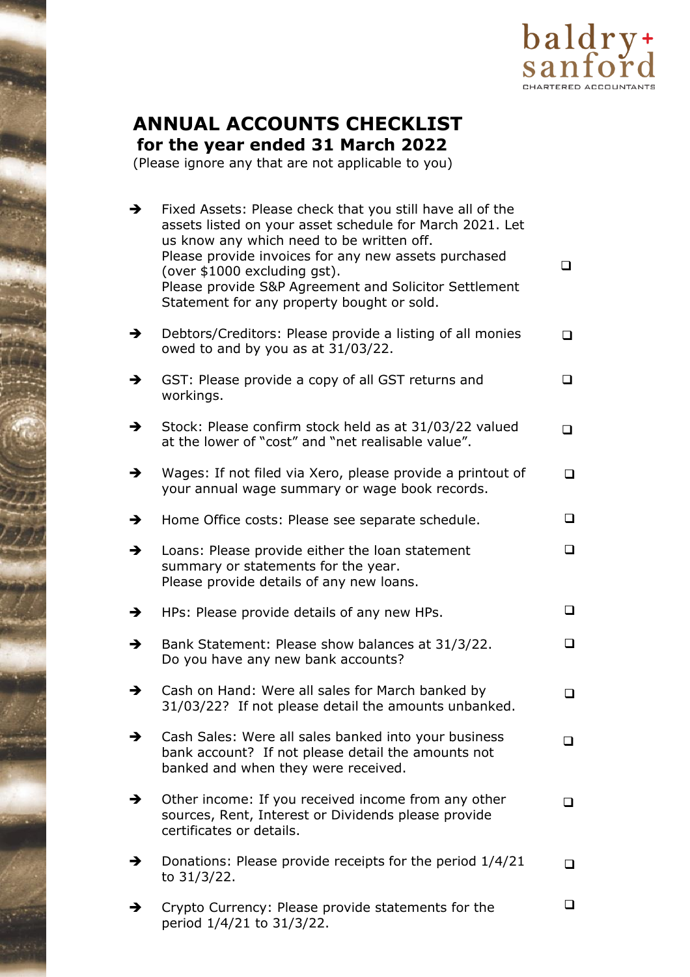

# **ANNUAL ACCOUNTS CHECKLIST**

**for the year ended 31 March 2022**

(Please ignore any that are not applicable to you)

| $\rightarrow$ | Fixed Assets: Please check that you still have all of the<br>assets listed on your asset schedule for March 2021. Let<br>us know any which need to be written off.<br>Please provide invoices for any new assets purchased<br>(over \$1000 excluding gst).<br>Please provide S&P Agreement and Solicitor Settlement<br>Statement for any property bought or sold. | ◻      |
|---------------|-------------------------------------------------------------------------------------------------------------------------------------------------------------------------------------------------------------------------------------------------------------------------------------------------------------------------------------------------------------------|--------|
| $\rightarrow$ | Debtors/Creditors: Please provide a listing of all monies<br>owed to and by you as at 31/03/22.                                                                                                                                                                                                                                                                   | □      |
| →             | GST: Please provide a copy of all GST returns and<br>workings.                                                                                                                                                                                                                                                                                                    | ப      |
| $\rightarrow$ | Stock: Please confirm stock held as at 31/03/22 valued<br>at the lower of "cost" and "net realisable value".                                                                                                                                                                                                                                                      | ◻      |
| $\rightarrow$ | Wages: If not filed via Xero, please provide a printout of<br>your annual wage summary or wage book records.                                                                                                                                                                                                                                                      | ◻      |
| →             | Home Office costs: Please see separate schedule.                                                                                                                                                                                                                                                                                                                  | ⊔      |
| $\rightarrow$ | Loans: Please provide either the loan statement<br>summary or statements for the year.<br>Please provide details of any new loans.                                                                                                                                                                                                                                | ❏      |
| $\rightarrow$ | HPs: Please provide details of any new HPs.                                                                                                                                                                                                                                                                                                                       | ❏      |
| →             | Bank Statement: Please show balances at 31/3/22.<br>Do you have any new bank accounts?                                                                                                                                                                                                                                                                            |        |
| →             | Cash on Hand: Were all sales for March banked by<br>31/03/22? If not please detail the amounts unbanked.                                                                                                                                                                                                                                                          | ⊔      |
| →             | Cash Sales: Were all sales banked into your business<br>bank account? If not please detail the amounts not<br>banked and when they were received.                                                                                                                                                                                                                 |        |
| →             | Other income: If you received income from any other<br>sources, Rent, Interest or Dividends please provide<br>certificates or details.                                                                                                                                                                                                                            | $\Box$ |
| →             | Donations: Please provide receipts for the period 1/4/21<br>to 31/3/22.                                                                                                                                                                                                                                                                                           | ◻      |
| →             | Crypto Currency: Please provide statements for the<br>period 1/4/21 to 31/3/22.                                                                                                                                                                                                                                                                                   | ப      |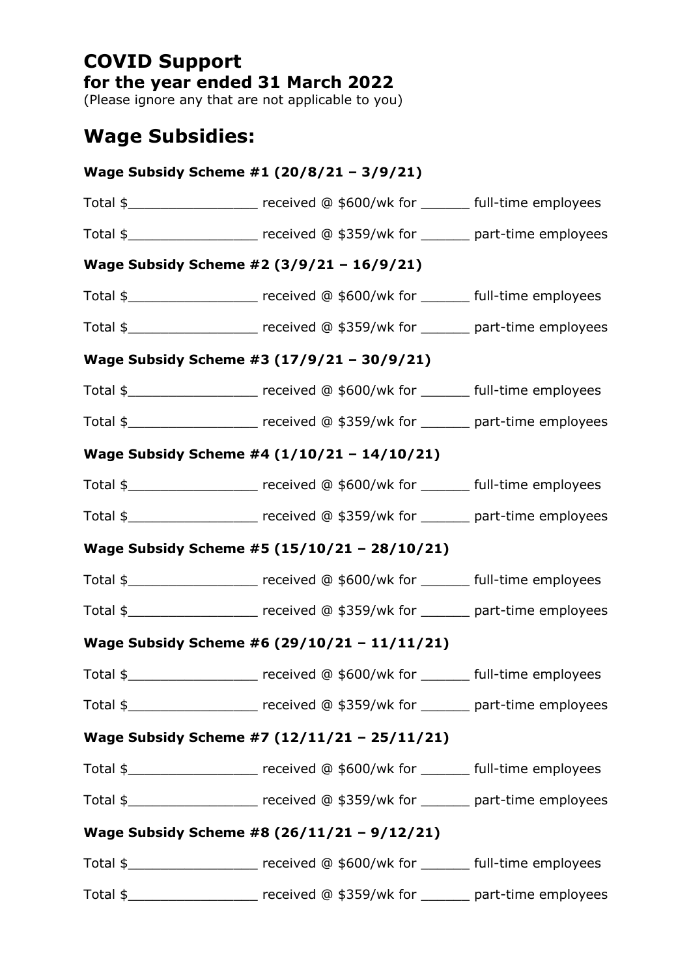### **COVID Support for the year ended 31 March 2022**

(Please ignore any that are not applicable to you)

## **Wage Subsidies:**

| Wage Subsidy Scheme #1 (20/8/21 - 3/9/21)                                                                                                                                                                                                                        |  |
|------------------------------------------------------------------------------------------------------------------------------------------------------------------------------------------------------------------------------------------------------------------|--|
| Total $\frac{1}{2}$ merges of the section of $\frac{1}{2}$ and $\frac{1}{2}$ full-time employees                                                                                                                                                                 |  |
| Total $\frac{1}{2}$ merogeometric resolution of $\frac{1}{2}$ merogeometric resolution of $\frac{1}{2}$ merogeometric resolution of $\frac{1}{2}$ merogeometric resolution of $\frac{1}{2}$ merogeometric resolution of $\frac{1}{2}$ merogeometric r            |  |
| Wage Subsidy Scheme #2 (3/9/21 - 16/9/21)                                                                                                                                                                                                                        |  |
| Total $\frac{1}{2}$ merges of the section of $\frac{1}{2}$ and $\frac{1}{2}$ full-time employees                                                                                                                                                                 |  |
| Total \$______________________ received @ \$359/wk for _______ part-time employees                                                                                                                                                                               |  |
| Wage Subsidy Scheme #3 (17/9/21 - 30/9/21)                                                                                                                                                                                                                       |  |
| Total $\frac{1}{2}$ merges of the contract of $\frac{1}{2}$ merges of $\frac{1}{2}$ full-time employees                                                                                                                                                          |  |
| Total $\frac{1}{2}$ merogeometric matrix received @ \$359/wk for _______ part-time employees                                                                                                                                                                     |  |
| Wage Subsidy Scheme #4 (1/10/21 - 14/10/21)                                                                                                                                                                                                                      |  |
| Total \$_____________________ received @ \$600/wk for _______ full-time employees                                                                                                                                                                                |  |
| Total $\frac{1}{2}$ merges of the section of $\frac{1}{2}$ are section of the section of $\frac{1}{2}$ merges of $\frac{1}{2}$ merges of $\frac{1}{2}$ merges of $\frac{1}{2}$ merges of $\frac{1}{2}$ merges of $\frac{1}{2}$ merges of $\frac{1}{2}$ merges of |  |
| Wage Subsidy Scheme #5 (15/10/21 - 28/10/21)                                                                                                                                                                                                                     |  |
| Total \$______________________ received @ \$600/wk for _______ full-time employees                                                                                                                                                                               |  |
| Total $\frac{1}{2}$ merogeometric matrix of the correlation of $\frac{1}{2}$ merogeometrical methods of $\frac{1}{2}$ merogeometric methods of $\frac{1}{2}$ methods of $\frac{1}{2}$ methods of $\frac{1}{2}$ methods of $\frac{1}{2}$ methods of $\frac{1}{$   |  |
| Wage Subsidy Scheme #6 (29/10/21 - 11/11/21)                                                                                                                                                                                                                     |  |
| Total \$______________________ received @ \$600/wk for _______ full-time employees                                                                                                                                                                               |  |
| Total $\frac{1}{2}$ merogeometric matrix received @ \$359/wk for ______ part-time employees                                                                                                                                                                      |  |
| Wage Subsidy Scheme #7 (12/11/21 - 25/11/21)                                                                                                                                                                                                                     |  |
| Total $\frac{1}{2}$ merges of the section of the section of the section of the section of the section of the section of the section of the section of the section of the section of the section of the section of the section of                                 |  |
| Total $\frac{1}{2}$ merogeometric matrix of the correlation of $\frac{1}{2}$ merogeometrical methods of $\frac{1}{2}$ merogeometric methods of $\frac{1}{2}$ methods of $\frac{1}{2}$ methods of $\frac{1}{2}$ methods of $\frac{1}{2}$ methods of $\frac{1}{$   |  |
| Wage Subsidy Scheme #8 (26/11/21 - 9/12/21)                                                                                                                                                                                                                      |  |
| Total \$______________________ received @ \$600/wk for _______ full-time employees                                                                                                                                                                               |  |
| Total $\frac{1}{2}$ merogeometric matrix received @ \$359/wk for ______ part-time employees                                                                                                                                                                      |  |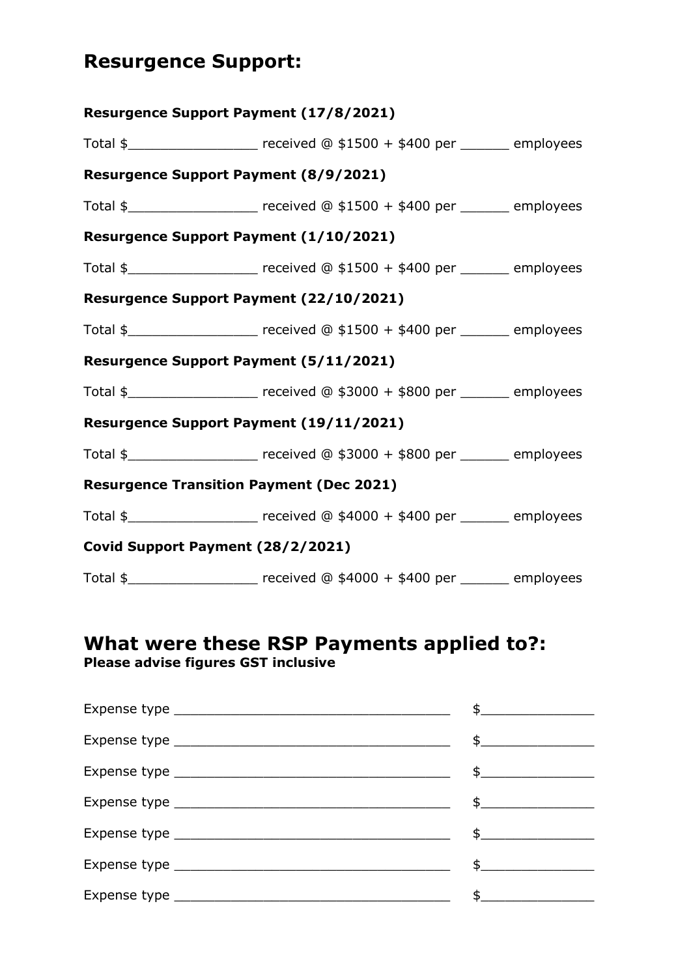## **Resurgence Support:**

|                                              | Resurgence Support Payment (17/8/2021)                                                          |  |
|----------------------------------------------|-------------------------------------------------------------------------------------------------|--|
|                                              | Total \$______________________ received @ \$1500 + \$400 per _______ employees                  |  |
| <b>Resurgence Support Payment (8/9/2021)</b> |                                                                                                 |  |
|                                              | Total \$ _____________________ received @ \$1500 + \$400 per _______ employees                  |  |
|                                              | Resurgence Support Payment (1/10/2021)                                                          |  |
|                                              | Total $\frac{1}{2}$ must construct the contract control (0 \$1500 + \$400 per _______ employees |  |
|                                              | Resurgence Support Payment (22/10/2021)                                                         |  |
|                                              | Total \$______________________ received @ \$1500 + \$400 per _______ employees                  |  |
|                                              | Resurgence Support Payment (5/11/2021)                                                          |  |
|                                              | Total \$ _____________________ received @ \$3000 + \$800 per _______ employees                  |  |
|                                              | Resurgence Support Payment (19/11/2021)                                                         |  |
|                                              | Total \$______________________ received @ \$3000 + \$800 per _______ employees                  |  |
|                                              | <b>Resurgence Transition Payment (Dec 2021)</b>                                                 |  |
|                                              | Total \$ Process received @ \$4000 + \$400 per Process employees                                |  |
| Covid Support Payment (28/2/2021)            |                                                                                                 |  |
|                                              | Total \$ ____________________ received @ \$4000 + \$400 per _______ employees                   |  |

### **What were these RSP Payments applied to?: Please advise figures GST inclusive**

| $\mathfrak s$ and $\mathfrak s$ and $\mathfrak s$ and $\mathfrak s$ and $\mathfrak s$ and $\mathfrak s$ and $\mathfrak s$ and $\mathfrak s$ and $\mathfrak s$ and $\mathfrak s$ and $\mathfrak s$ and $\mathfrak s$ and $\mathfrak s$ and $\mathfrak s$ and $\mathfrak s$ and $\mathfrak s$ and $\mathfrak s$ and $\mathfrak s$ and $\mathfrak$ |
|-------------------------------------------------------------------------------------------------------------------------------------------------------------------------------------------------------------------------------------------------------------------------------------------------------------------------------------------------|
| $\frac{1}{2}$                                                                                                                                                                                                                                                                                                                                   |
| $\frac{1}{2}$                                                                                                                                                                                                                                                                                                                                   |
| $\frac{1}{2}$                                                                                                                                                                                                                                                                                                                                   |
| $\frac{1}{2}$                                                                                                                                                                                                                                                                                                                                   |
| $\frac{1}{2}$                                                                                                                                                                                                                                                                                                                                   |
|                                                                                                                                                                                                                                                                                                                                                 |